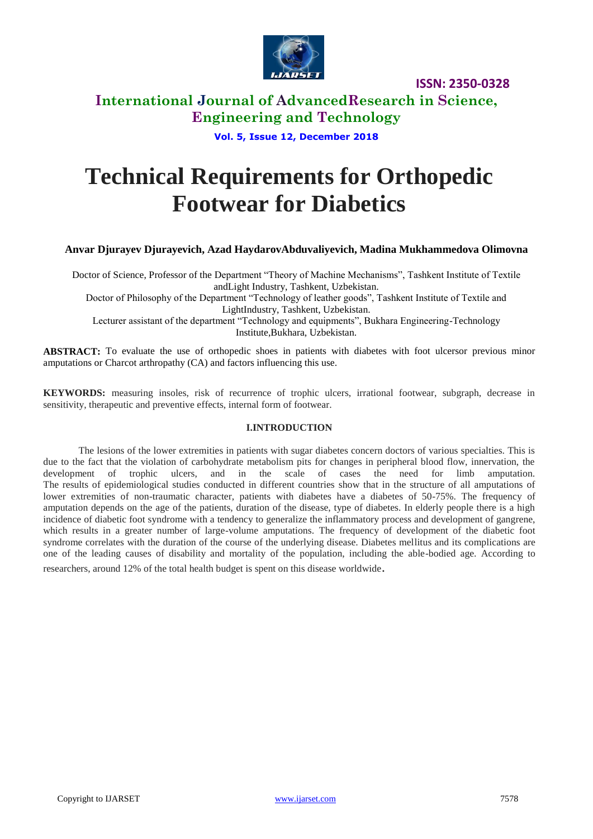

### **International Journal of AdvancedResearch in Science, Engineering and Technology**

**Vol. 5, Issue 12, December 2018**

# **Technical Requirements for Orthopedic Footwear for Diabetics**

### **Anvar Djurayev Djurayevich, Azad HaydarovAbduvaliyevich, Madina Mukhammedova Olimovna**

Doctor of Science, Professor of the Department "Theory of Machine Mechanisms", Tashkent Institute of Textile andLight Industry, Tashkent, Uzbekistan. Doctor of Philosophy of the Department "Technology of leather goods", Tashkent Institute of Textile and LightIndustry, Tashkent, Uzbekistan. Lecturer assistant of the department "Technology and equipments", Bukhara Engineering-Technology Institute,Bukhara, Uzbekistan.

**ABSTRACT:** To evaluate the use of orthopedic shoes in patients with diabetes with foot ulcersor previous minor amputations or Charcot arthropathy (CA) and factors influencing this use.

**KEYWORDS:** measuring insoles, risk of recurrence of trophic ulcers, irrational footwear, subgraph, decrease in sensitivity, therapeutic and preventive effects, internal form of footwear.

### **I.INTRODUCTION**

The lesions of the lower extremities in patients with sugar diabetes concern doctors of various specialties. This is due to the fact that the violation of carbohydrate metabolism pits for changes in peripheral blood flow, innervation, the development of trophic ulcers, and in the scale of cases the need for limb amputation. trophic ulcers, and in the scale of cases the need for limb amputation. The results of epidemiological studies conducted in different countries show that in the structure of all amputations of lower extremities of non-traumatic character, patients with diabetes have a diabetes of 50-75%. The frequency of amputation depends on the age of the patients, duration of the disease, type of diabetes. In elderly people there is a high incidence of diabetic foot syndrome with a tendency to generalize the inflammatory process and development of gangrene, which results in a greater number of large-volume amputations. The frequency of development of the diabetic foot syndrome correlates with the duration of the course of the underlying disease. Diabetes mellitus and its complications are one of the leading causes of disability and mortality of the population, including the able-bodied age. According to researchers, around 12% of the total health budget is spent on this disease worldwide.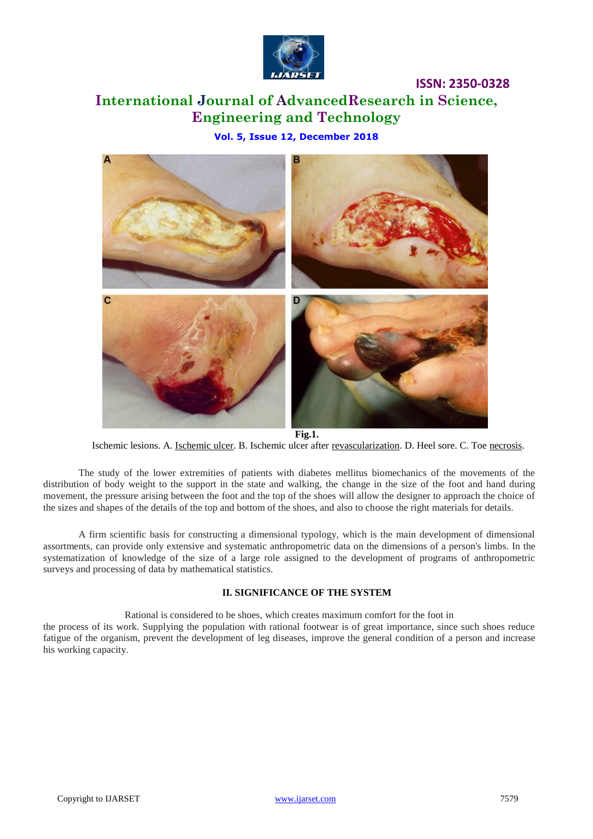

# **International Journal of AdvancedResearch in Science, Engineering and Technology**

**Vol. 5, Issue 12, December 2018**



Ischemic lesions. A. [Ischemic](https://www.sciencedirect.com/topics/medicine-and-dentistry/arterial-insufficiency-ulcer) ulcer. B. Ischemic ulcer after [revascularization.](https://www.sciencedirect.com/topics/medicine-and-dentistry/revascularization) D. Heel sore. C. Toe [necrosis.](https://www.sciencedirect.com/topics/medicine-and-dentistry/necrosis)

The study of the lower extremities of patients with diabetes mellitus biomechanics of the movements of the distribution of body weight to the support in the state and walking, the change in the size of the foot and hand during movement, the pressure arising between the foot and the top of the shoes will allow the designer to approach the choice of the sizes and shapes of the details of the top and bottom of the shoes, and also to choose the right materials for details.

A firm scientific basis for constructing a dimensional typology, which is the main development of dimensional assortments, can provide only extensive and systematic anthropometric data on the dimensions of a person's limbs. In the systematization of knowledge of the size of a large role assigned to the development of programs of anthropometric surveys and processing of data by mathematical statistics.

### **II. SIGNIFICANCE OF THE SYSTEM**

Rational is considered to be shoes, which creates maximum comfort for the foot in the process of its work. Supplying the population with rational footwear is of great importance, since such shoes reduce fatigue of the organism, prevent the development of leg diseases, improve the general condition of a person and increase his working capacity.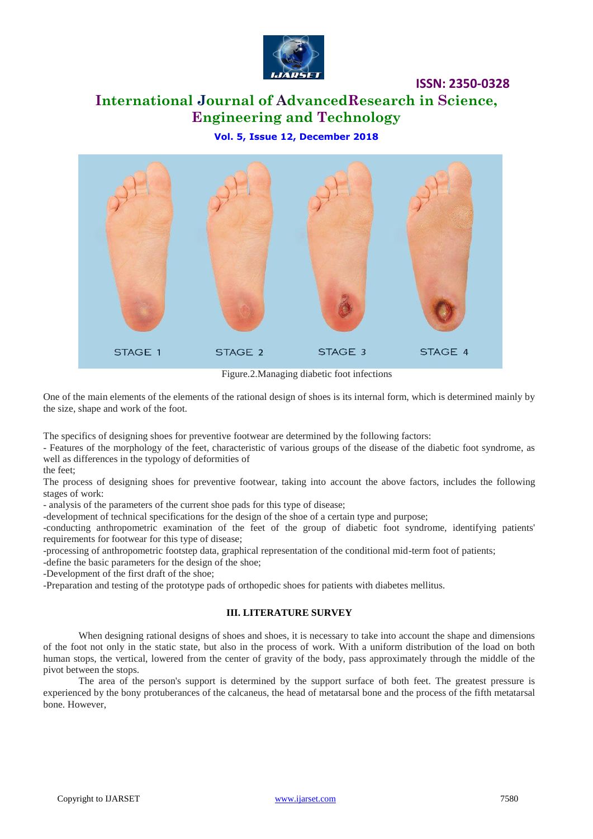

## **International Journal of AdvancedResearch in Science, Engineering and Technology**

### **Vol. 5, Issue 12, December 2018**



Figure.2.Managing diabetic foot infections

One of the main elements of the elements of the rational design of shoes is its internal form, which is determined mainly by the size, shape and work of the foot.

The specifics of designing shoes for preventive footwear are determined by the following factors:

- Features of the morphology of the feet, characteristic of various groups of the disease of the diabetic foot syndrome, as well as differences in the typology of deformities of

the feet;

The process of designing shoes for preventive footwear, taking into account the above factors, includes the following stages of work:

- analysis of the parameters of the current shoe pads for this type of disease;

-development of technical specifications for the design of the shoe of a certain type and purpose;

-conducting anthropometric examination of the feet of the group of diabetic foot syndrome, identifying patients' requirements for footwear for this type of disease;

-processing of anthropometric footstep data, graphical representation of the conditional mid-term foot of patients;

-define the basic parameters for the design of the shoe;

-Development of the first draft of the shoe;

-Preparation and testing of the prototype pads of orthopedic shoes for patients with diabetes mellitus.

### **III. LITERATURE SURVEY**

When designing rational designs of shoes and shoes, it is necessary to take into account the shape and dimensions of the foot not only in the static state, but also in the process of work. With a uniform distribution of the load on both human stops, the vertical, lowered from the center of gravity of the body, pass approximately through the middle of the pivot between the stops.

The area of the person's support is determined by the support surface of both feet. The greatest pressure is experienced by the bony protuberances of the calcaneus, the head of metatarsal bone and the process of the fifth metatarsal bone. However,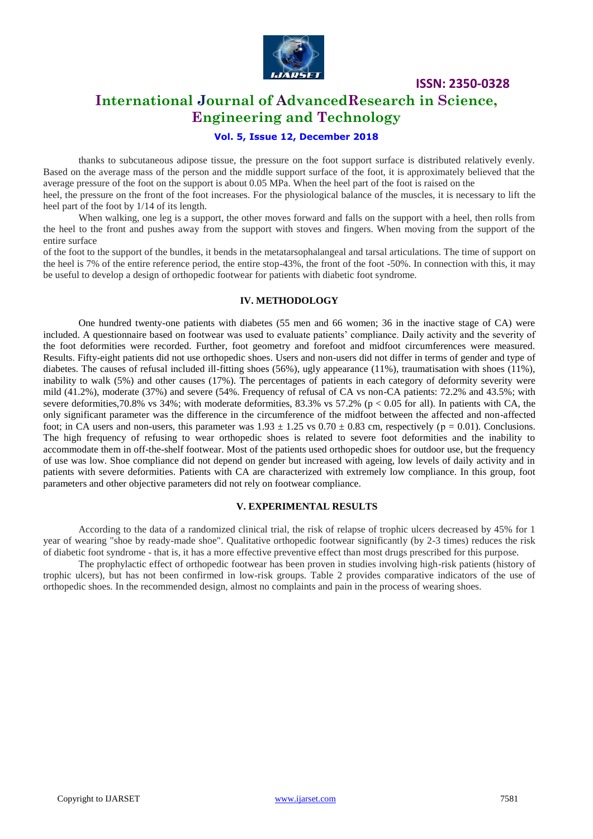

### **International Journal of AdvancedResearch in Science, Engineering and Technology**

### **Vol. 5, Issue 12, December 2018**

thanks to subcutaneous adipose tissue, the pressure on the foot support surface is distributed relatively evenly. Based on the average mass of the person and the middle support surface of the foot, it is approximately believed that the average pressure of the foot on the support is about 0.05 MPa. When the heel part of the foot is raised on the heel, the pressure on the front of the foot increases. For the physiological balance of the muscles, it is necessary to lift the heel part of the foot by 1/14 of its length.

When walking, one leg is a support, the other moves forward and falls on the support with a heel, then rolls from the heel to the front and pushes away from the support with stoves and fingers. When moving from the support of the entire surface

of the foot to the support of the bundles, it bends in the metatarsophalangeal and tarsal articulations. The time of support on the heel is 7% of the entire reference period, the entire stop-43%, the front of the foot -50%. In connection with this, it may be useful to develop a design of orthopedic footwear for patients with diabetic foot syndrome.

### **IV. METHODOLOGY**

One hundred twenty-one patients with diabetes (55 men and 66 women; 36 in the inactive stage of CA) were included. A questionnaire based on footwear was used to evaluate patients' compliance. Daily activity and the severity of the foot deformities were recorded. Further, foot geometry and forefoot and midfoot circumferences were measured. Results. Fifty-eight patients did not use orthopedic shoes. Users and non-users did not differ in terms of gender and type of diabetes. The causes of refusal included ill-fitting shoes (56%), ugly appearance (11%), traumatisation with shoes (11%), inability to walk (5%) and other causes (17%). The percentages of patients in each category of deformity severity were mild (41.2%), moderate (37%) and severe (54%. Frequency of refusal of CA vs non-CA patients: 72.2% and 43.5%; with severe deformities,70.8% vs 34%; with moderate deformities, 83.3% vs 57.2% ( $p < 0.05$  for all). In patients with CA, the only significant parameter was the difference in the circumference of the midfoot between the affected and non-affected foot; in CA users and non-users, this parameter was  $1.93 \pm 1.25$  vs  $0.70 \pm 0.83$  cm, respectively (p = 0.01). Conclusions. The high frequency of refusing to wear orthopedic shoes is related to severe foot deformities and the inability to accommodate them in off-the-shelf footwear. Most of the patients used orthopedic shoes for outdoor use, but the frequency of use was low. Shoe compliance did not depend on gender but increased with ageing, low levels of daily activity and in patients with severe deformities. Patients with CA are characterized with extremely low compliance. In this group, foot parameters and other objective parameters did not rely on footwear compliance.

### **V. EXPERIMENTAL RESULTS**

According to the data of a randomized clinical trial, the risk of relapse of trophic ulcers decreased by 45% for 1 year of wearing "shoe by ready-made shoe". Qualitative orthopedic footwear significantly (by 2-3 times) reduces the risk of diabetic foot syndrome - that is, it has a more effective preventive effect than most drugs prescribed for this purpose.

The prophylactic effect of orthopedic footwear has been proven in studies involving high-risk patients (history of trophic ulcers), but has not been confirmed in low-risk groups. Table 2 provides comparative indicators of the use of orthopedic shoes. In the recommended design, almost no complaints and pain in the process of wearing shoes.